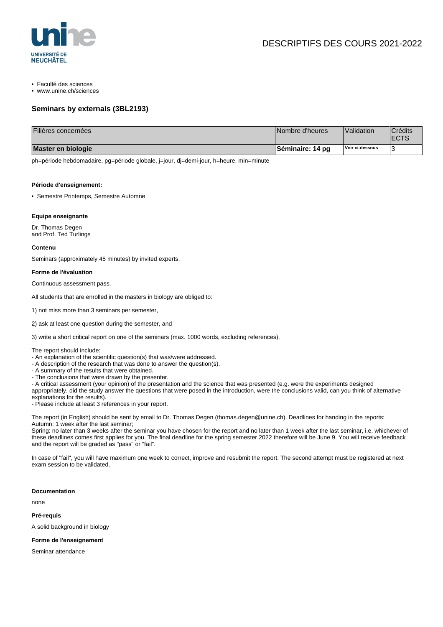

• Faculté des sciences

• www.unine.ch/sciences

## **Seminars by externals (3BL2193)**

| Filières concernées | Nombre d'heures   | Validation      | Crédits <sup>®</sup><br><b>ECTS</b> |
|---------------------|-------------------|-----------------|-------------------------------------|
| Master en biologie  | ∣Séminaire: 14 pɑ | Voir ci-dessous |                                     |

ph=période hebdomadaire, pg=période globale, j=jour, dj=demi-jour, h=heure, min=minute

#### **Période d'enseignement:**

• Semestre Printemps, Semestre Automne

### **Equipe enseignante**

Dr. Thomas Degen and Prof. Ted Turlings

#### **Contenu**

Seminars (approximately 45 minutes) by invited experts.

#### **Forme de l'évaluation**

Continuous assessment pass.

All students that are enrolled in the masters in biology are obliged to:

- 1) not miss more than 3 seminars per semester,
- 2) ask at least one question during the semester, and
- 3) write a short critical report on one of the seminars (max. 1000 words, excluding references).

The report should include:

- An explanation of the scientific question(s) that was/were addressed.
- A description of the research that was done to answer the question(s).
- A summary of the results that were obtained.
- The conclusions that were drawn by the presenter.
- A critical assessment (your opinion) of the presentation and the science that was presented (e.g. were the experiments designed

appropriately, did the study answer the questions that were posed in the introduction, were the conclusions valid, can you think of alternative explanations for the results).

- Please include at least 3 references in your report.

The report (in English) should be sent by email to Dr. Thomas Degen (thomas.degen@unine.ch). Deadlines for handing in the reports: Autumn: 1 week after the last seminar;

Spring: no later than 3 weeks after the seminar you have chosen for the report and no later than 1 week after the last seminar, i.e. whichever of these deadlines comes first applies for you. The final deadline for the spring semester 2022 therefore will be June 9. You will receive feedback and the report will be graded as "pass" or "fail".

In case of "fail", you will have maximum one week to correct, improve and resubmit the report. The second attempt must be registered at next exam session to be validated.

#### **Documentation**

none

**Pré-requis**

A solid background in biology

### **Forme de l'enseignement**

Seminar attendance